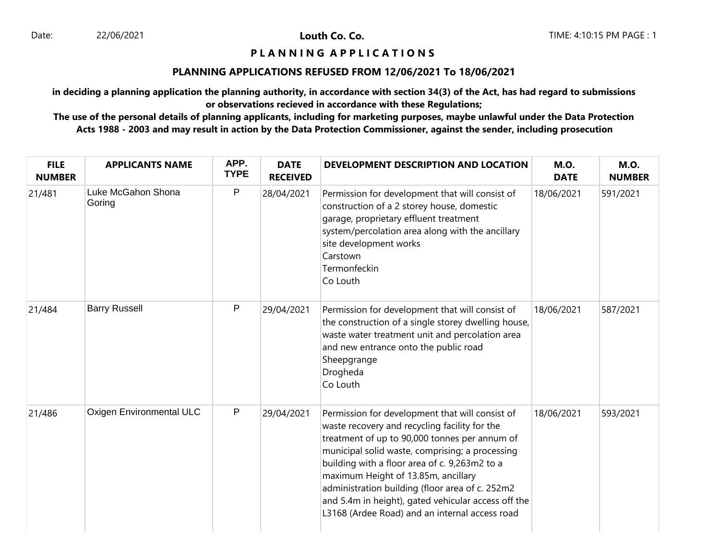Louth Co. Co.

# **P L A N N I N G A P P L I C A T I O N S**

### **PLANNING APPLICATIONS REFUSED FROM 12/06/2021 To 18/06/2021**

**in deciding a planning application the planning authority, in accordance with section 34(3) of the Act, has had regard to submissions or observations recieved in accordance with these Regulations;**

**The use of the personal details of planning applicants, including for marketing purposes, maybe unlawful under the Data Protection Acts 1988 - 2003 and may result in action by the Data Protection Commissioner, against the sender, including prosecution**

| <b>FILE</b><br><b>NUMBER</b> | <b>APPLICANTS NAME</b>          | APP.<br><b>TYPE</b> | <b>DATE</b><br><b>RECEIVED</b> | DEVELOPMENT DESCRIPTION AND LOCATION                                                                                                                                                                                                                                                                                                                                                                                                                     | <b>M.O.</b><br><b>DATE</b> | <b>M.O.</b><br><b>NUMBER</b> |
|------------------------------|---------------------------------|---------------------|--------------------------------|----------------------------------------------------------------------------------------------------------------------------------------------------------------------------------------------------------------------------------------------------------------------------------------------------------------------------------------------------------------------------------------------------------------------------------------------------------|----------------------------|------------------------------|
| 21/481                       | Luke McGahon Shona<br>Goring    | P                   | 28/04/2021                     | Permission for development that will consist of<br>construction of a 2 storey house, domestic<br>garage, proprietary effluent treatment<br>system/percolation area along with the ancillary<br>site development works<br>Carstown<br>Termonfeckin<br>Co Louth                                                                                                                                                                                            | 18/06/2021                 | 591/2021                     |
| 21/484                       | <b>Barry Russell</b>            | P                   | 29/04/2021                     | Permission for development that will consist of<br>the construction of a single storey dwelling house,<br>waste water treatment unit and percolation area<br>and new entrance onto the public road<br>Sheepgrange<br>Drogheda<br>Co Louth                                                                                                                                                                                                                | 18/06/2021                 | 587/2021                     |
| 21/486                       | <b>Oxigen Environmental ULC</b> | $\mathsf{P}$        | 29/04/2021                     | Permission for development that will consist of<br>waste recovery and recycling facility for the<br>treatment of up to 90,000 tonnes per annum of<br>municipal solid waste, comprising; a processing<br>building with a floor area of c. 9,263m2 to a<br>maximum Height of 13.85m, ancillary<br>administration building (floor area of c. 252m2<br>and 5.4m in height), gated vehicular access off the<br>L3168 (Ardee Road) and an internal access road | 18/06/2021                 | 593/2021                     |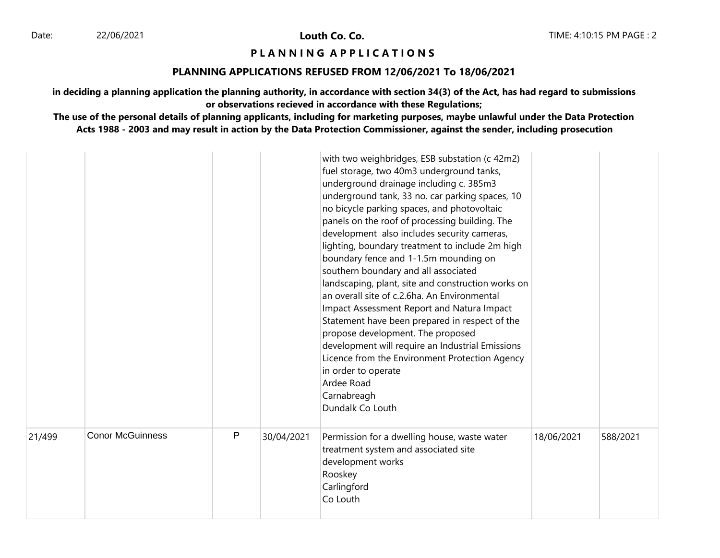Louth Co. Co.

# **P L A N N I N G A P P L I C A T I O N S**

### **PLANNING APPLICATIONS REFUSED FROM 12/06/2021 To 18/06/2021**

**in deciding a planning application the planning authority, in accordance with section 34(3) of the Act, has had regard to submissions or observations recieved in accordance with these Regulations;**

**The use of the personal details of planning applicants, including for marketing purposes, maybe unlawful under the Data Protection Acts 1988 - 2003 and may result in action by the Data Protection Commissioner, against the sender, including prosecution**

|        |                         |   |            | with two weighbridges, ESB substation (c 42m2)<br>fuel storage, two 40m3 underground tanks,<br>underground drainage including c. 385m3<br>underground tank, 33 no. car parking spaces, 10<br>no bicycle parking spaces, and photovoltaic<br>panels on the roof of processing building. The<br>development also includes security cameras,<br>lighting, boundary treatment to include 2m high<br>boundary fence and 1-1.5m mounding on<br>southern boundary and all associated<br>landscaping, plant, site and construction works on<br>an overall site of c.2.6ha. An Environmental<br>Impact Assessment Report and Natura Impact<br>Statement have been prepared in respect of the<br>propose development. The proposed<br>development will require an Industrial Emissions<br>Licence from the Environment Protection Agency<br>in order to operate<br>Ardee Road<br>Carnabreagh<br>Dundalk Co Louth |            |          |
|--------|-------------------------|---|------------|--------------------------------------------------------------------------------------------------------------------------------------------------------------------------------------------------------------------------------------------------------------------------------------------------------------------------------------------------------------------------------------------------------------------------------------------------------------------------------------------------------------------------------------------------------------------------------------------------------------------------------------------------------------------------------------------------------------------------------------------------------------------------------------------------------------------------------------------------------------------------------------------------------|------------|----------|
| 21/499 | <b>Conor McGuinness</b> | P | 30/04/2021 | Permission for a dwelling house, waste water<br>treatment system and associated site<br>development works<br>Rooskey<br>Carlingford<br>Co Louth                                                                                                                                                                                                                                                                                                                                                                                                                                                                                                                                                                                                                                                                                                                                                        | 18/06/2021 | 588/2021 |